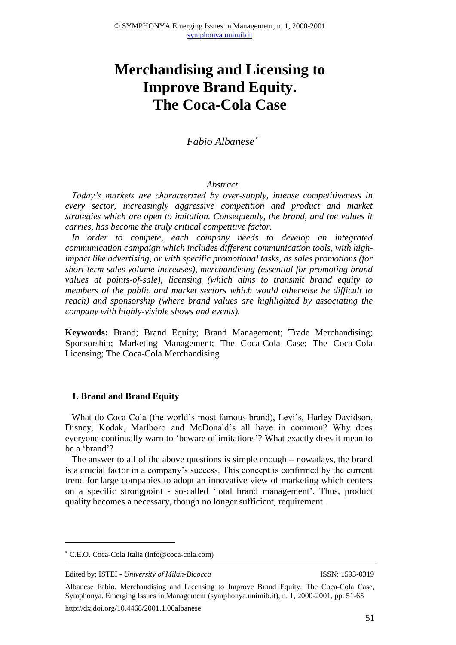# **Merchandising and Licensing to Improve Brand Equity. The Coca-Cola Case**

*Fabio Albanese*

## *Abstract*

*Today's markets are characterized by over-supply, intense competitiveness in every sector, increasingly aggressive competition and product and market strategies which are open to imitation. Consequently, the brand, and the values it carries, has become the truly critical competitive factor.*

*In order to compete, each company needs to develop an integrated communication campaign which includes different communication tools, with highimpact like advertising, or with specific promotional tasks, as sales promotions (for short-term sales volume increases), merchandising (essential for promoting brand values at points-of-sale), licensing (which aims to transmit brand equity to members of the public and market sectors which would otherwise be difficult to reach) and sponsorship (where brand values are highlighted by associating the company with highly-visible shows and events).*

**Keywords:** Brand; Brand Equity; Brand Management; Trade Merchandising; Sponsorship; Marketing Management; The Coca-Cola Case; The Coca-Cola Licensing; The Coca-Cola Merchandising

## **1. Brand and Brand Equity**

What do Coca-Cola (the world's most famous brand), Levi's, Harley Davidson, Disney, Kodak, Marlboro and McDonald's all have in common? Why does everyone continually warn to 'beware of imitations'? What exactly does it mean to be a 'brand'?

The answer to all of the above questions is simple enough – nowadays, the brand is a crucial factor in a company's success. This concept is confirmed by the current trend for large companies to adopt an innovative view of marketing which centers on a specific strongpoint - so-called 'total brand management'. Thus, product quality becomes a necessary, though no longer sufficient, requirement.

<u>.</u>

C.E.O. Coca-Cola Italia (info@coca-cola.com)

Edited by: ISTEI - *University of Milan-Bicocca* ISSN: 1593-0319

Albanese Fabio, Merchandising and Licensing to Improve Brand Equity. The Coca-Cola Case, Symphonya. Emerging Issues in Management (symphonya.unimib.it), n. 1, 2000-2001, pp. 51-65 http://dx.doi.org/10.4468/2001.1.06albanese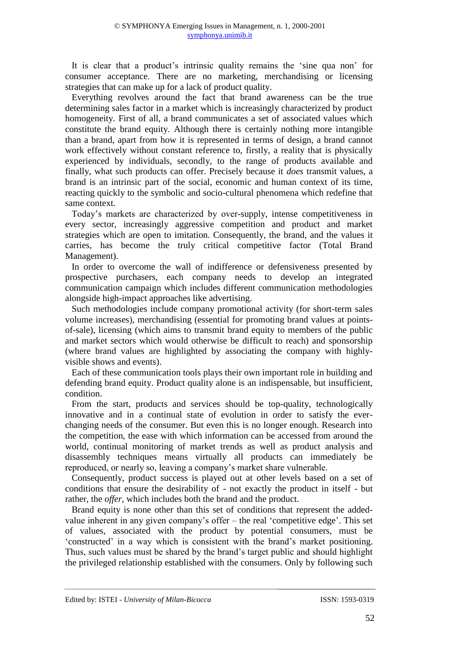It is clear that a product's intrinsic quality remains the 'sine qua non' for consumer acceptance. There are no marketing, merchandising or licensing strategies that can make up for a lack of product quality.

Everything revolves around the fact that brand awareness can be the true determining sales factor in a market which is increasingly characterized by product homogeneity. First of all, a brand communicates a set of associated values which constitute the brand equity. Although there is certainly nothing more intangible than a brand, apart from how it is represented in terms of design, a brand cannot work effectively without constant reference to, firstly, a reality that is physically experienced by individuals, secondly, to the range of products available and finally, what such products can offer. Precisely because it *does* transmit values, a brand is an intrinsic part of the social, economic and human context of its time, reacting quickly to the symbolic and socio-cultural phenomena which redefine that same context.

Today's markets are characterized by over-supply, intense competitiveness in every sector, increasingly aggressive competition and product and market strategies which are open to imitation. Consequently, the brand, and the values it carries, has become the truly critical competitive factor (Total Brand Management).

In order to overcome the wall of indifference or defensiveness presented by prospective purchasers, each company needs to develop an integrated communication campaign which includes different communication methodologies alongside high-impact approaches like advertising.

Such methodologies include company promotional activity (for short-term sales volume increases), merchandising (essential for promoting brand values at pointsof-sale), licensing (which aims to transmit brand equity to members of the public and market sectors which would otherwise be difficult to reach) and sponsorship (where brand values are highlighted by associating the company with highlyvisible shows and events).

Each of these communication tools plays their own important role in building and defending brand equity. Product quality alone is an indispensable, but insufficient, condition.

From the start, products and services should be top-quality, technologically innovative and in a continual state of evolution in order to satisfy the everchanging needs of the consumer. But even this is no longer enough. Research into the competition, the ease with which information can be accessed from around the world, continual monitoring of market trends as well as product analysis and disassembly techniques means virtually all products can immediately be reproduced, or nearly so, leaving a company's market share vulnerable.

Consequently, product success is played out at other levels based on a set of conditions that ensure the desirability of - not exactly the product in itself - but rather, the *offer*, which includes both the brand and the product.

Brand equity is none other than this set of conditions that represent the addedvalue inherent in any given company's offer – the real 'competitive edge'. This set of values, associated with the product by potential consumers, must be 'constructed' in a way which is consistent with the brand's market positioning. Thus, such values must be shared by the brand's target public and should highlight the privileged relationship established with the consumers. Only by following such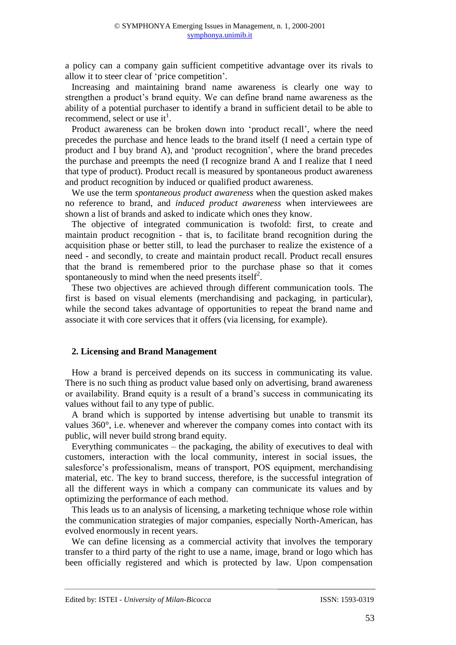a policy can a company gain sufficient competitive advantage over its rivals to allow it to steer clear of 'price competition'.

Increasing and maintaining brand name awareness is clearly one way to strengthen a product's brand equity. We can define brand name awareness as the ability of a potential purchaser to identify a brand in sufficient detail to be able to recommend, select or use it<sup>1</sup>.

Product awareness can be broken down into 'product recall', where the need precedes the purchase and hence leads to the brand itself (I need a certain type of product and I buy brand A), and 'product recognition', where the brand precedes the purchase and preempts the need (I recognize brand A and I realize that I need that type of product). Product recall is measured by spontaneous product awareness and product recognition by induced or qualified product awareness.

We use the term *spontaneous product awareness* when the question asked makes no reference to brand, and *induced product awareness* when interviewees are shown a list of brands and asked to indicate which ones they know.

The objective of integrated communication is twofold: first, to create and maintain product recognition - that is, to facilitate brand recognition during the acquisition phase or better still, to lead the purchaser to realize the existence of a need - and secondly, to create and maintain product recall. Product recall ensures that the brand is remembered prior to the purchase phase so that it comes spontaneously to mind when the need presents itself<sup>2</sup>.

These two objectives are achieved through different communication tools. The first is based on visual elements (merchandising and packaging, in particular), while the second takes advantage of opportunities to repeat the brand name and associate it with core services that it offers (via licensing, for example).

## **2. Licensing and Brand Management**

How a brand is perceived depends on its success in communicating its value. There is no such thing as product value based only on advertising, brand awareness or availability. Brand equity is a result of a brand's success in communicating its values without fail to any type of public.

A brand which is supported by intense advertising but unable to transmit its values 360°, i.e. whenever and wherever the company comes into contact with its public, will never build strong brand equity.

Everything communicates – the packaging, the ability of executives to deal with customers, interaction with the local community, interest in social issues, the salesforce's professionalism, means of transport, POS equipment, merchandising material, etc. The key to brand success, therefore, is the successful integration of all the different ways in which a company can communicate its values and by optimizing the performance of each method.

This leads us to an analysis of licensing, a marketing technique whose role within the communication strategies of major companies, especially North-American, has evolved enormously in recent years.

We can define licensing as a commercial activity that involves the temporary transfer to a third party of the right to use a name, image, brand or logo which has been officially registered and which is protected by law. Upon compensation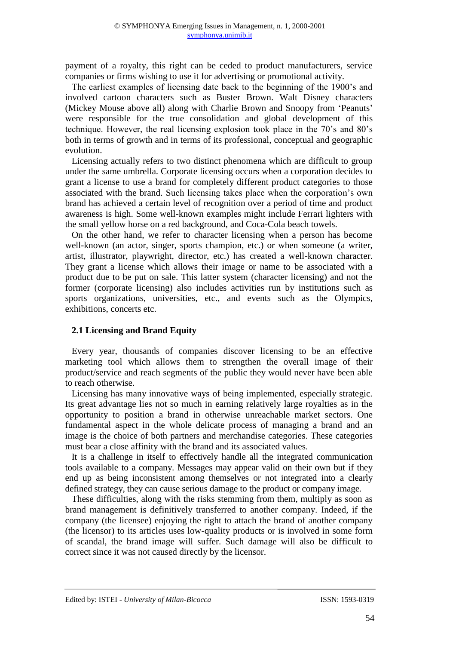payment of a royalty, this right can be ceded to product manufacturers, service companies or firms wishing to use it for advertising or promotional activity.

The earliest examples of licensing date back to the beginning of the 1900's and involved cartoon characters such as Buster Brown. Walt Disney characters (Mickey Mouse above all) along with Charlie Brown and Snoopy from 'Peanuts' were responsible for the true consolidation and global development of this technique. However, the real licensing explosion took place in the 70's and 80's both in terms of growth and in terms of its professional, conceptual and geographic evolution.

Licensing actually refers to two distinct phenomena which are difficult to group under the same umbrella. Corporate licensing occurs when a corporation decides to grant a license to use a brand for completely different product categories to those associated with the brand. Such licensing takes place when the corporation's own brand has achieved a certain level of recognition over a period of time and product awareness is high. Some well-known examples might include Ferrari lighters with the small yellow horse on a red background, and Coca-Cola beach towels.

On the other hand, we refer to character licensing when a person has become well-known (an actor, singer, sports champion, etc.) or when someone (a writer, artist, illustrator, playwright, director, etc.) has created a well-known character. They grant a license which allows their image or name to be associated with a product due to be put on sale. This latter system (character licensing) and not the former (corporate licensing) also includes activities run by institutions such as sports organizations, universities, etc., and events such as the Olympics, exhibitions, concerts etc.

## **2.1 Licensing and Brand Equity**

Every year, thousands of companies discover licensing to be an effective marketing tool which allows them to strengthen the overall image of their product/service and reach segments of the public they would never have been able to reach otherwise.

Licensing has many innovative ways of being implemented, especially strategic. Its great advantage lies not so much in earning relatively large royalties as in the opportunity to position a brand in otherwise unreachable market sectors. One fundamental aspect in the whole delicate process of managing a brand and an image is the choice of both partners and merchandise categories. These categories must bear a close affinity with the brand and its associated values.

It is a challenge in itself to effectively handle all the integrated communication tools available to a company. Messages may appear valid on their own but if they end up as being inconsistent among themselves or not integrated into a clearly defined strategy, they can cause serious damage to the product or company image.

These difficulties, along with the risks stemming from them, multiply as soon as brand management is definitively transferred to another company. Indeed, if the company (the licensee) enjoying the right to attach the brand of another company (the licensor) to its articles uses low-quality products or is involved in some form of scandal, the brand image will suffer. Such damage will also be difficult to correct since it was not caused directly by the licensor.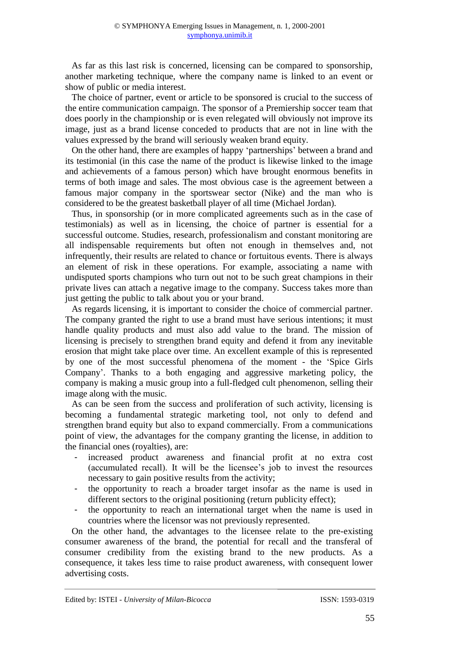As far as this last risk is concerned, licensing can be compared to sponsorship, another marketing technique, where the company name is linked to an event or show of public or media interest.

The choice of partner, event or article to be sponsored is crucial to the success of the entire communication campaign. The sponsor of a Premiership soccer team that does poorly in the championship or is even relegated will obviously not improve its image, just as a brand license conceded to products that are not in line with the values expressed by the brand will seriously weaken brand equity.

On the other hand, there are examples of happy 'partnerships' between a brand and its testimonial (in this case the name of the product is likewise linked to the image and achievements of a famous person) which have brought enormous benefits in terms of both image and sales. The most obvious case is the agreement between a famous major company in the sportswear sector (Nike) and the man who is considered to be the greatest basketball player of all time (Michael Jordan).

Thus, in sponsorship (or in more complicated agreements such as in the case of testimonials) as well as in licensing, the choice of partner is essential for a successful outcome. Studies, research, professionalism and constant monitoring are all indispensable requirements but often not enough in themselves and, not infrequently, their results are related to chance or fortuitous events. There is always an element of risk in these operations. For example, associating a name with undisputed sports champions who turn out not to be such great champions in their private lives can attach a negative image to the company. Success takes more than just getting the public to talk about you or your brand.

As regards licensing, it is important to consider the choice of commercial partner. The company granted the right to use a brand must have serious intentions; it must handle quality products and must also add value to the brand. The mission of licensing is precisely to strengthen brand equity and defend it from any inevitable erosion that might take place over time. An excellent example of this is represented by one of the most successful phenomena of the moment - the 'Spice Girls Company'. Thanks to a both engaging and aggressive marketing policy, the company is making a music group into a full-fledged cult phenomenon, selling their image along with the music.

As can be seen from the success and proliferation of such activity, licensing is becoming a fundamental strategic marketing tool, not only to defend and strengthen brand equity but also to expand commercially. From a communications point of view, the advantages for the company granting the license, in addition to the financial ones (royalties), are:

- increased product awareness and financial profit at no extra cost (accumulated recall). It will be the licensee's job to invest the resources necessary to gain positive results from the activity;
- the opportunity to reach a broader target insofar as the name is used in different sectors to the original positioning (return publicity effect);
- the opportunity to reach an international target when the name is used in countries where the licensor was not previously represented.

On the other hand, the advantages to the licensee relate to the pre-existing consumer awareness of the brand, the potential for recall and the transferal of consumer credibility from the existing brand to the new products. As a consequence, it takes less time to raise product awareness, with consequent lower advertising costs.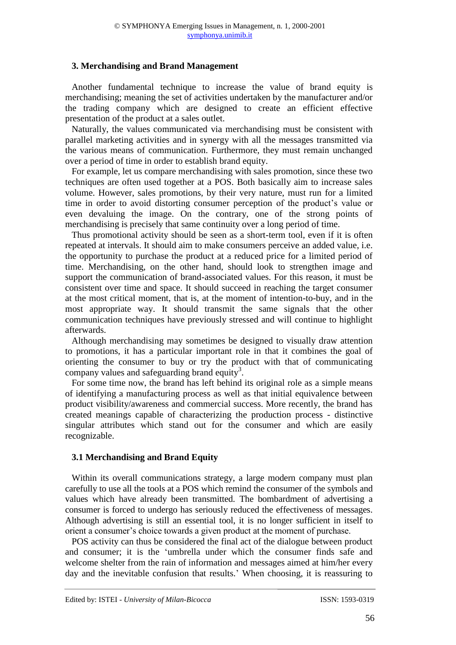## **3. Merchandising and Brand Management**

Another fundamental technique to increase the value of brand equity is merchandising; meaning the set of activities undertaken by the manufacturer and/or the trading company which are designed to create an efficient effective presentation of the product at a sales outlet.

Naturally, the values communicated via merchandising must be consistent with parallel marketing activities and in synergy with all the messages transmitted via the various means of communication. Furthermore, they must remain unchanged over a period of time in order to establish brand equity.

For example, let us compare merchandising with sales promotion, since these two techniques are often used together at a POS. Both basically aim to increase sales volume. However, sales promotions, by their very nature, must run for a limited time in order to avoid distorting consumer perception of the product's value or even devaluing the image. On the contrary, one of the strong points of merchandising is precisely that same continuity over a long period of time.

Thus promotional activity should be seen as a short-term tool, even if it is often repeated at intervals. It should aim to make consumers perceive an added value, i.e. the opportunity to purchase the product at a reduced price for a limited period of time. Merchandising, on the other hand, should look to strengthen image and support the communication of brand-associated values. For this reason, it must be consistent over time and space. It should succeed in reaching the target consumer at the most critical moment, that is, at the moment of intention-to-buy, and in the most appropriate way. It should transmit the same signals that the other communication techniques have previously stressed and will continue to highlight afterwards.

Although merchandising may sometimes be designed to visually draw attention to promotions, it has a particular important role in that it combines the goal of orienting the consumer to buy or try the product with that of communicating company values and safeguarding brand equity<sup>3</sup>.

For some time now, the brand has left behind its original role as a simple means of identifying a manufacturing process as well as that initial equivalence between product visibility/awareness and commercial success. More recently, the brand has created meanings capable of characterizing the production process - distinctive singular attributes which stand out for the consumer and which are easily recognizable.

## **3.1 Merchandising and Brand Equity**

Within its overall communications strategy, a large modern company must plan carefully to use all the tools at a POS which remind the consumer of the symbols and values which have already been transmitted. The bombardment of advertising a consumer is forced to undergo has seriously reduced the effectiveness of messages. Although advertising is still an essential tool, it is no longer sufficient in itself to orient a consumer's choice towards a given product at the moment of purchase.

POS activity can thus be considered the final act of the dialogue between product and consumer; it is the 'umbrella under which the consumer finds safe and welcome shelter from the rain of information and messages aimed at him/her every day and the inevitable confusion that results.' When choosing, it is reassuring to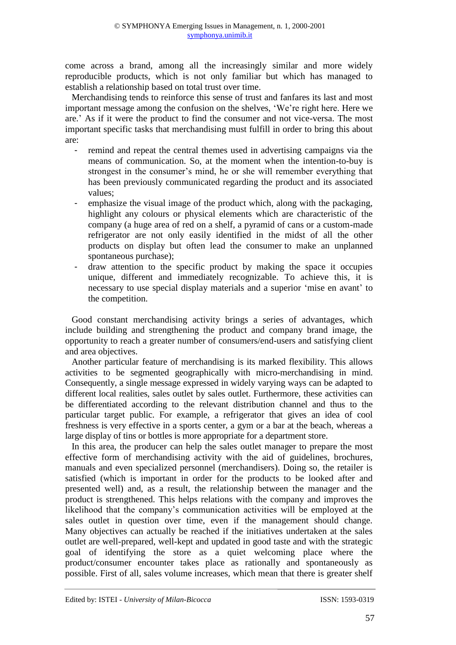come across a brand, among all the increasingly similar and more widely reproducible products, which is not only familiar but which has managed to establish a relationship based on total trust over time.

Merchandising tends to reinforce this sense of trust and fanfares its last and most important message among the confusion on the shelves, 'We're right here. Here we are.' As if it were the product to find the consumer and not vice-versa. The most important specific tasks that merchandising must fulfill in order to bring this about are:

- remind and repeat the central themes used in advertising campaigns via the means of communication. So, at the moment when the intention-to-buy is strongest in the consumer's mind, he or she will remember everything that has been previously communicated regarding the product and its associated values;
- emphasize the visual image of the product which, along with the packaging, highlight any colours or physical elements which are characteristic of the company (a huge area of red on a shelf, a pyramid of cans or a custom-made refrigerator are not only easily identified in the midst of all the other products on display but often lead the consumer to make an unplanned spontaneous purchase);
- draw attention to the specific product by making the space it occupies unique, different and immediately recognizable. To achieve this, it is necessary to use special display materials and a superior 'mise en avant' to the competition.

Good constant merchandising activity brings a series of advantages, which include building and strengthening the product and company brand image, the opportunity to reach a greater number of consumers/end-users and satisfying client and area objectives.

Another particular feature of merchandising is its marked flexibility. This allows activities to be segmented geographically with micro-merchandising in mind. Consequently, a single message expressed in widely varying ways can be adapted to different local realities, sales outlet by sales outlet. Furthermore, these activities can be differentiated according to the relevant distribution channel and thus to the particular target public. For example, a refrigerator that gives an idea of cool freshness is very effective in a sports center, a gym or a bar at the beach, whereas a large display of tins or bottles is more appropriate for a department store.

In this area, the producer can help the sales outlet manager to prepare the most effective form of merchandising activity with the aid of guidelines, brochures, manuals and even specialized personnel (merchandisers). Doing so, the retailer is satisfied (which is important in order for the products to be looked after and presented well) and, as a result, the relationship between the manager and the product is strengthened. This helps relations with the company and improves the likelihood that the company's communication activities will be employed at the sales outlet in question over time, even if the management should change. Many objectives can actually be reached if the initiatives undertaken at the sales outlet are well-prepared, well-kept and updated in good taste and with the strategic goal of identifying the store as a quiet welcoming place where the product/consumer encounter takes place as rationally and spontaneously as possible. First of all, sales volume increases, which mean that there is greater shelf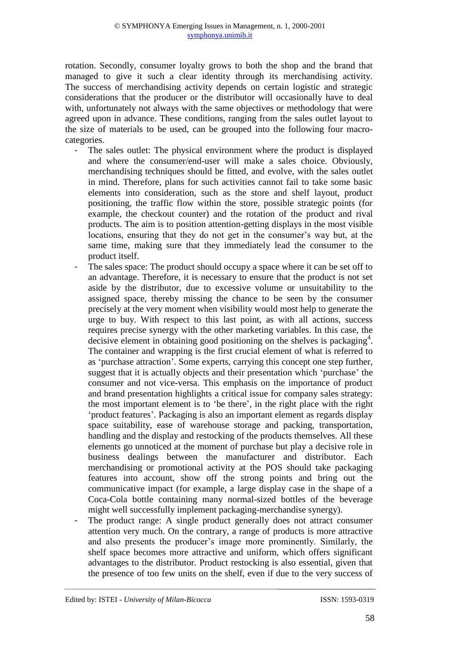rotation. Secondly, consumer loyalty grows to both the shop and the brand that managed to give it such a clear identity through its merchandising activity. The success of merchandising activity depends on certain logistic and strategic considerations that the producer or the distributor will occasionally have to deal with, unfortunately not always with the same objectives or methodology that were agreed upon in advance. These conditions, ranging from the sales outlet layout to the size of materials to be used, can be grouped into the following four macrocategories.

- The sales outlet: The physical environment where the product is displayed and where the consumer/end-user will make a sales choice. Obviously, merchandising techniques should be fitted, and evolve, with the sales outlet in mind. Therefore, plans for such activities cannot fail to take some basic elements into consideration, such as the store and shelf layout, product positioning, the traffic flow within the store, possible strategic points (for example, the checkout counter) and the rotation of the product and rival products. The aim is to position attention-getting displays in the most visible locations, ensuring that they do not get in the consumer's way but, at the same time, making sure that they immediately lead the consumer to the product itself.
- The sales space: The product should occupy a space where it can be set off to an advantage. Therefore, it is necessary to ensure that the product is not set aside by the distributor, due to excessive volume or unsuitability to the assigned space, thereby missing the chance to be seen by the consumer precisely at the very moment when visibility would most help to generate the urge to buy. With respect to this last point, as with all actions, success requires precise synergy with the other marketing variables. In this case, the decisive element in obtaining good positioning on the shelves is packaging<sup>4</sup>. The container and wrapping is the first crucial element of what is referred to as 'purchase attraction'. Some experts, carrying this concept one step further, suggest that it is actually objects and their presentation which 'purchase' the consumer and not vice-versa. This emphasis on the importance of product and brand presentation highlights a critical issue for company sales strategy: the most important element is to 'be there', in the right place with the right 'product features'. Packaging is also an important element as regards display space suitability, ease of warehouse storage and packing, transportation, handling and the display and restocking of the products themselves. All these elements go unnoticed at the moment of purchase but play a decisive role in business dealings between the manufacturer and distributor. Each merchandising or promotional activity at the POS should take packaging features into account, show off the strong points and bring out the communicative impact (for example, a large display case in the shape of a Coca-Cola bottle containing many normal-sized bottles of the beverage might well successfully implement packaging-merchandise synergy).
- The product range: A single product generally does not attract consumer attention very much. On the contrary, a range of products is more attractive and also presents the producer's image more prominently. Similarly, the shelf space becomes more attractive and uniform, which offers significant advantages to the distributor. Product restocking is also essential, given that the presence of too few units on the shelf, even if due to the very success of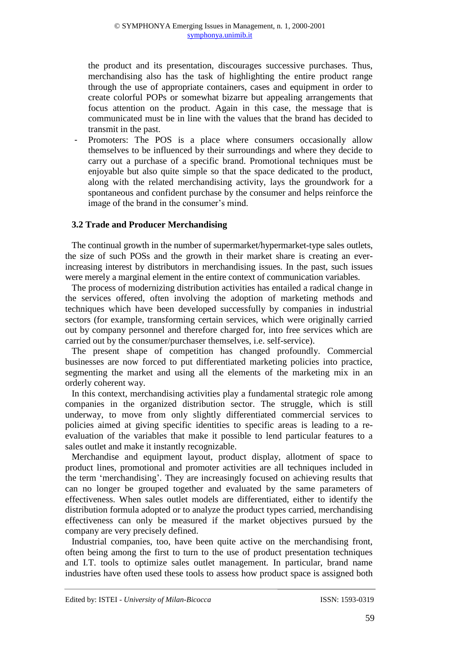the product and its presentation, discourages successive purchases. Thus, merchandising also has the task of highlighting the entire product range through the use of appropriate containers, cases and equipment in order to create colorful POPs or somewhat bizarre but appealing arrangements that focus attention on the product. Again in this case, the message that is communicated must be in line with the values that the brand has decided to transmit in the past.

Promoters: The POS is a place where consumers occasionally allow themselves to be influenced by their surroundings and where they decide to carry out a purchase of a specific brand. Promotional techniques must be enjoyable but also quite simple so that the space dedicated to the product, along with the related merchandising activity, lays the groundwork for a spontaneous and confident purchase by the consumer and helps reinforce the image of the brand in the consumer's mind.

## **3.2 Trade and Producer Merchandising**

The continual growth in the number of supermarket/hypermarket-type sales outlets, the size of such POSs and the growth in their market share is creating an everincreasing interest by distributors in merchandising issues. In the past, such issues were merely a marginal element in the entire context of communication variables.

The process of modernizing distribution activities has entailed a radical change in the services offered, often involving the adoption of marketing methods and techniques which have been developed successfully by companies in industrial sectors (for example, transforming certain services, which were originally carried out by company personnel and therefore charged for, into free services which are carried out by the consumer/purchaser themselves, i.e. self-service).

The present shape of competition has changed profoundly. Commercial businesses are now forced to put differentiated marketing policies into practice, segmenting the market and using all the elements of the marketing mix in an orderly coherent way.

In this context, merchandising activities play a fundamental strategic role among companies in the organized distribution sector. The struggle, which is still underway, to move from only slightly differentiated commercial services to policies aimed at giving specific identities to specific areas is leading to a reevaluation of the variables that make it possible to lend particular features to a sales outlet and make it instantly recognizable.

Merchandise and equipment layout, product display, allotment of space to product lines, promotional and promoter activities are all techniques included in the term 'merchandising'. They are increasingly focused on achieving results that can no longer be grouped together and evaluated by the same parameters of effectiveness. When sales outlet models are differentiated, either to identify the distribution formula adopted or to analyze the product types carried, merchandising effectiveness can only be measured if the market objectives pursued by the company are very precisely defined.

Industrial companies, too, have been quite active on the merchandising front, often being among the first to turn to the use of product presentation techniques and I.T. tools to optimize sales outlet management. In particular, brand name industries have often used these tools to assess how product space is assigned both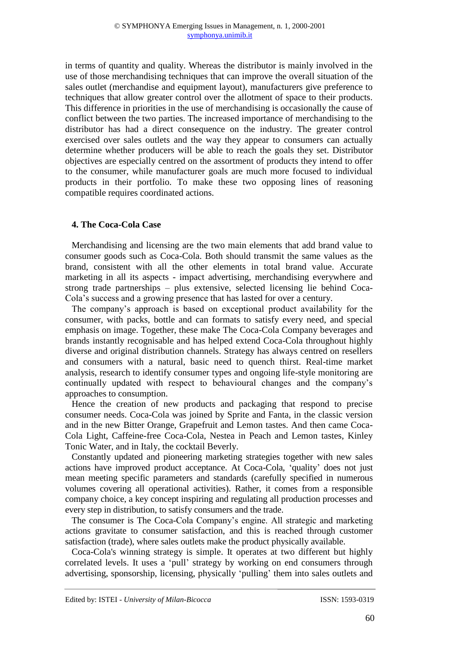in terms of quantity and quality. Whereas the distributor is mainly involved in the use of those merchandising techniques that can improve the overall situation of the sales outlet (merchandise and equipment layout), manufacturers give preference to techniques that allow greater control over the allotment of space to their products. This difference in priorities in the use of merchandising is occasionally the cause of conflict between the two parties. The increased importance of merchandising to the distributor has had a direct consequence on the industry. The greater control exercised over sales outlets and the way they appear to consumers can actually determine whether producers will be able to reach the goals they set. Distributor objectives are especially centred on the assortment of products they intend to offer to the consumer, while manufacturer goals are much more focused to individual products in their portfolio. To make these two opposing lines of reasoning compatible requires coordinated actions.

## **4. The Coca-Cola Case**

Merchandising and licensing are the two main elements that add brand value to consumer goods such as Coca-Cola. Both should transmit the same values as the brand, consistent with all the other elements in total brand value. Accurate marketing in all its aspects - impact advertising, merchandising everywhere and strong trade partnerships – plus extensive, selected licensing lie behind Coca-Cola's success and a growing presence that has lasted for over a century.

The company's approach is based on exceptional product availability for the consumer, with packs, bottle and can formats to satisfy every need, and special emphasis on image. Together, these make The Coca-Cola Company beverages and brands instantly recognisable and has helped extend Coca-Cola throughout highly diverse and original distribution channels. Strategy has always centred on resellers and consumers with a natural, basic need to quench thirst. Real-time market analysis, research to identify consumer types and ongoing life-style monitoring are continually updated with respect to behavioural changes and the company's approaches to consumption.

Hence the creation of new products and packaging that respond to precise consumer needs. Coca-Cola was joined by Sprite and Fanta, in the classic version and in the new Bitter Orange, Grapefruit and Lemon tastes. And then came Coca-Cola Light, Caffeine-free Coca-Cola, Nestea in Peach and Lemon tastes, Kinley Tonic Water, and in Italy, the cocktail Beverly.

Constantly updated and pioneering marketing strategies together with new sales actions have improved product acceptance. At Coca-Cola, 'quality' does not just mean meeting specific parameters and standards (carefully specified in numerous volumes covering all operational activities). Rather, it comes from a responsible company choice, a key concept inspiring and regulating all production processes and every step in distribution, to satisfy consumers and the trade.

The consumer is The Coca-Cola Company's engine. All strategic and marketing actions gravitate to consumer satisfaction, and this is reached through customer satisfaction (trade), where sales outlets make the product physically available.

Coca-Cola's winning strategy is simple. It operates at two different but highly correlated levels. It uses a 'pull' strategy by working on end consumers through advertising, sponsorship, licensing, physically 'pulling' them into sales outlets and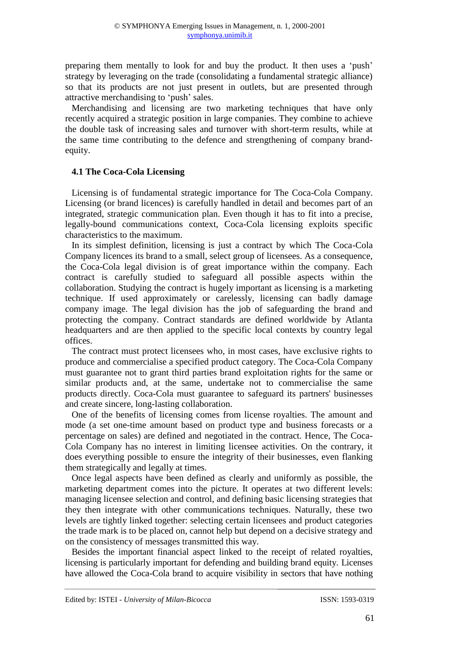preparing them mentally to look for and buy the product. It then uses a 'push' strategy by leveraging on the trade (consolidating a fundamental strategic alliance) so that its products are not just present in outlets, but are presented through attractive merchandising to 'push' sales.

Merchandising and licensing are two marketing techniques that have only recently acquired a strategic position in large companies. They combine to achieve the double task of increasing sales and turnover with short-term results, while at the same time contributing to the defence and strengthening of company brandequity.

## **4.1 The Coca-Cola Licensing**

Licensing is of fundamental strategic importance for The Coca-Cola Company. Licensing (or brand licences) is carefully handled in detail and becomes part of an integrated, strategic communication plan. Even though it has to fit into a precise, legally-bound communications context, Coca-Cola licensing exploits specific characteristics to the maximum.

In its simplest definition, licensing is just a contract by which The Coca-Cola Company licences its brand to a small, select group of licensees. As a consequence, the Coca-Cola legal division is of great importance within the company. Each contract is carefully studied to safeguard all possible aspects within the collaboration. Studying the contract is hugely important as licensing is a marketing technique. If used approximately or carelessly, licensing can badly damage company image. The legal division has the job of safeguarding the brand and protecting the company. Contract standards are defined worldwide by Atlanta headquarters and are then applied to the specific local contexts by country legal offices.

The contract must protect licensees who, in most cases, have exclusive rights to produce and commercialise a specified product category. The Coca-Cola Company must guarantee not to grant third parties brand exploitation rights for the same or similar products and, at the same, undertake not to commercialise the same products directly. Coca-Cola must guarantee to safeguard its partners' businesses and create sincere, long-lasting collaboration.

One of the benefits of licensing comes from license royalties. The amount and mode (a set one-time amount based on product type and business forecasts or a percentage on sales) are defined and negotiated in the contract. Hence, The Coca-Cola Company has no interest in limiting licensee activities. On the contrary, it does everything possible to ensure the integrity of their businesses, even flanking them strategically and legally at times.

Once legal aspects have been defined as clearly and uniformly as possible, the marketing department comes into the picture. It operates at two different levels: managing licensee selection and control, and defining basic licensing strategies that they then integrate with other communications techniques. Naturally, these two levels are tightly linked together: selecting certain licensees and product categories the trade mark is to be placed on, cannot help but depend on a decisive strategy and on the consistency of messages transmitted this way.

Besides the important financial aspect linked to the receipt of related royalties, licensing is particularly important for defending and building brand equity. Licenses have allowed the Coca-Cola brand to acquire visibility in sectors that have nothing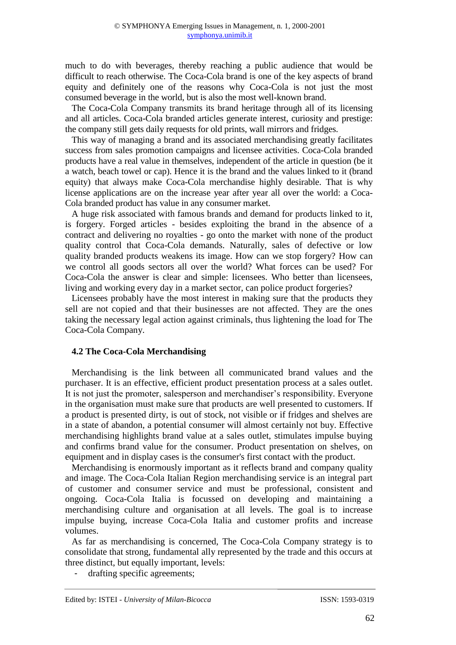much to do with beverages, thereby reaching a public audience that would be difficult to reach otherwise. The Coca-Cola brand is one of the key aspects of brand equity and definitely one of the reasons why Coca-Cola is not just the most consumed beverage in the world, but is also the most well-known brand.

The Coca-Cola Company transmits its brand heritage through all of its licensing and all articles. Coca-Cola branded articles generate interest, curiosity and prestige: the company still gets daily requests for old prints, wall mirrors and fridges.

This way of managing a brand and its associated merchandising greatly facilitates success from sales promotion campaigns and licensee activities. Coca-Cola branded products have a real value in themselves, independent of the article in question (be it a watch, beach towel or cap). Hence it is the brand and the values linked to it (brand equity) that always make Coca-Cola merchandise highly desirable. That is why license applications are on the increase year after year all over the world: a Coca-Cola branded product has value in any consumer market.

A huge risk associated with famous brands and demand for products linked to it, is forgery. Forged articles - besides exploiting the brand in the absence of a contract and delivering no royalties - go onto the market with none of the product quality control that Coca-Cola demands. Naturally, sales of defective or low quality branded products weakens its image. How can we stop forgery? How can we control all goods sectors all over the world? What forces can be used? For Coca-Cola the answer is clear and simple: licensees. Who better than licensees, living and working every day in a market sector, can police product forgeries?

Licensees probably have the most interest in making sure that the products they sell are not copied and that their businesses are not affected. They are the ones taking the necessary legal action against criminals, thus lightening the load for The Coca-Cola Company.

## **4.2 The Coca-Cola Merchandising**

Merchandising is the link between all communicated brand values and the purchaser. It is an effective, efficient product presentation process at a sales outlet. It is not just the promoter, salesperson and merchandiser's responsibility. Everyone in the organisation must make sure that products are well presented to customers. If a product is presented dirty, is out of stock, not visible or if fridges and shelves are in a state of abandon, a potential consumer will almost certainly not buy. Effective merchandising highlights brand value at a sales outlet, stimulates impulse buying and confirms brand value for the consumer. Product presentation on shelves, on equipment and in display cases is the consumer's first contact with the product.

Merchandising is enormously important as it reflects brand and company quality and image. The Coca-Cola Italian Region merchandising service is an integral part of customer and consumer service and must be professional, consistent and ongoing. Coca-Cola Italia is focussed on developing and maintaining a merchandising culture and organisation at all levels. The goal is to increase impulse buying, increase Coca-Cola Italia and customer profits and increase volumes.

As far as merchandising is concerned, The Coca-Cola Company strategy is to consolidate that strong, fundamental ally represented by the trade and this occurs at three distinct, but equally important, levels:

- drafting specific agreements;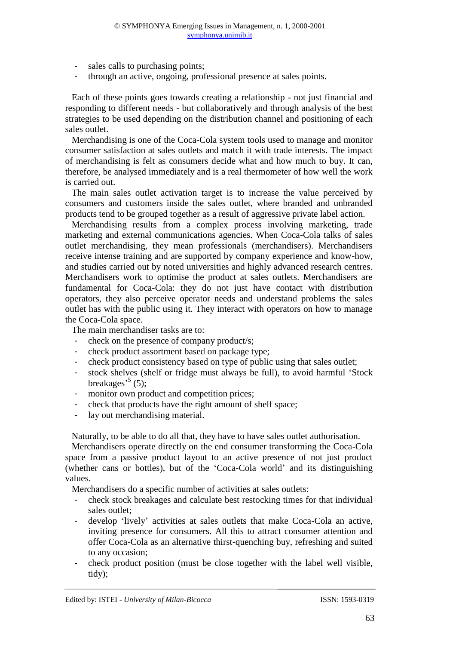- sales calls to purchasing points;
- through an active, ongoing, professional presence at sales points.

Each of these points goes towards creating a relationship - not just financial and responding to different needs - but collaboratively and through analysis of the best strategies to be used depending on the distribution channel and positioning of each sales outlet.

Merchandising is one of the Coca-Cola system tools used to manage and monitor consumer satisfaction at sales outlets and match it with trade interests. The impact of merchandising is felt as consumers decide what and how much to buy. It can, therefore, be analysed immediately and is a real thermometer of how well the work is carried out.

The main sales outlet activation target is to increase the value perceived by consumers and customers inside the sales outlet, where branded and unbranded products tend to be grouped together as a result of aggressive private label action.

Merchandising results from a complex process involving marketing, trade marketing and external communications agencies. When Coca-Cola talks of sales outlet merchandising, they mean professionals (merchandisers). Merchandisers receive intense training and are supported by company experience and know-how, and studies carried out by noted universities and highly advanced research centres. Merchandisers work to optimise the product at sales outlets. Merchandisers are fundamental for Coca-Cola: they do not just have contact with distribution operators, they also perceive operator needs and understand problems the sales outlet has with the public using it. They interact with operators on how to manage the Coca-Cola space.

The main merchandiser tasks are to:

- check on the presence of company product/s;
- check product assortment based on package type;
- check product consistency based on type of public using that sales outlet;
- stock shelves (shelf or fridge must always be full), to avoid harmful 'Stock breakages<sup> $5$ </sup> (5);
- monitor own product and competition prices;
- check that products have the right amount of shelf space;
- lay out merchandising material.

Naturally, to be able to do all that, they have to have sales outlet authorisation.

Merchandisers operate directly on the end consumer transforming the Coca-Cola space from a passive product layout to an active presence of not just product (whether cans or bottles), but of the 'Coca-Cola world' and its distinguishing values.

Merchandisers do a specific number of activities at sales outlets:

- check stock breakages and calculate best restocking times for that individual sales outlet;
- develop 'lively' activities at sales outlets that make Coca-Cola an active, inviting presence for consumers. All this to attract consumer attention and offer Coca-Cola as an alternative thirst-quenching buy, refreshing and suited to any occasion;
- check product position (must be close together with the label well visible, tidy);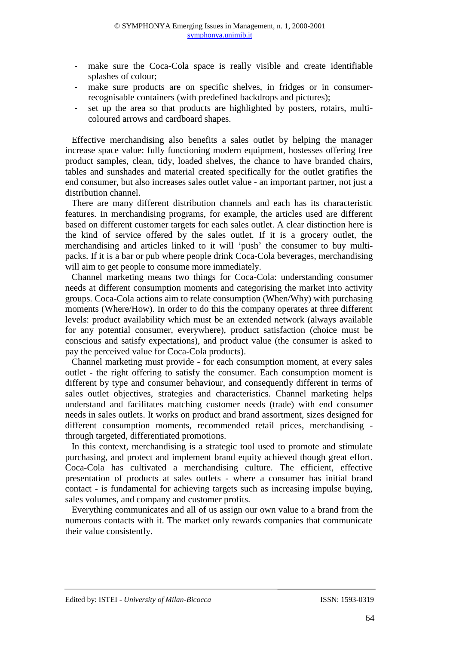- make sure the Coca-Cola space is really visible and create identifiable splashes of colour;
- make sure products are on specific shelves, in fridges or in consumerrecognisable containers (with predefined backdrops and pictures);
- set up the area so that products are highlighted by posters, rotairs, multicoloured arrows and cardboard shapes.

Effective merchandising also benefits a sales outlet by helping the manager increase space value: fully functioning modern equipment, hostesses offering free product samples, clean, tidy, loaded shelves, the chance to have branded chairs, tables and sunshades and material created specifically for the outlet gratifies the end consumer, but also increases sales outlet value - an important partner, not just a distribution channel.

There are many different distribution channels and each has its characteristic features. In merchandising programs, for example, the articles used are different based on different customer targets for each sales outlet. A clear distinction here is the kind of service offered by the sales outlet. If it is a grocery outlet, the merchandising and articles linked to it will 'push' the consumer to buy multipacks. If it is a bar or pub where people drink Coca-Cola beverages, merchandising will aim to get people to consume more immediately.

Channel marketing means two things for Coca-Cola: understanding consumer needs at different consumption moments and categorising the market into activity groups. Coca-Cola actions aim to relate consumption (When/Why) with purchasing moments (Where/How). In order to do this the company operates at three different levels: product availability which must be an extended network (always available for any potential consumer, everywhere), product satisfaction (choice must be conscious and satisfy expectations), and product value (the consumer is asked to pay the perceived value for Coca-Cola products).

Channel marketing must provide - for each consumption moment, at every sales outlet - the right offering to satisfy the consumer. Each consumption moment is different by type and consumer behaviour, and consequently different in terms of sales outlet objectives, strategies and characteristics. Channel marketing helps understand and facilitates matching customer needs (trade) with end consumer needs in sales outlets. It works on product and brand assortment, sizes designed for different consumption moments, recommended retail prices, merchandising through targeted, differentiated promotions.

In this context, merchandising is a strategic tool used to promote and stimulate purchasing, and protect and implement brand equity achieved though great effort. Coca-Cola has cultivated a merchandising culture. The efficient, effective presentation of products at sales outlets - where a consumer has initial brand contact - is fundamental for achieving targets such as increasing impulse buying, sales volumes, and company and customer profits.

Everything communicates and all of us assign our own value to a brand from the numerous contacts with it. The market only rewards companies that communicate their value consistently.